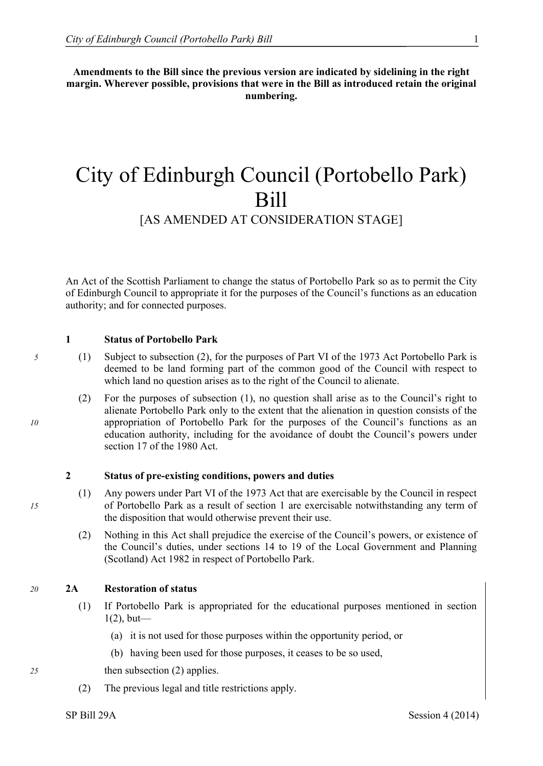**Amendments to the Bill since the previous version are indicated by sidelining in the right margin. Wherever possible, provisions that were in the Bill as introduced retain the original numbering.**

# City of Edinburgh Council (Portobello Park) Bill

### [AS AMENDED AT CONSIDERATION STAGE]

An Act of the Scottish Parliament to change the status of Portobello Park so as to permit the City of Edinburgh Council to appropriate it for the purposes of the Council's functions as an education authority; and for connected purposes.

#### **1 Status of Portobello Park**

- *5* (1) Subject to subsection (2), for the purposes of Part VI of the 1973 Act Portobello Park is deemed to be land forming part of the common good of the Council with respect to which land no question arises as to the right of the Council to alienate.
- (2) For the purposes of subsection (1), no question shall arise as to the Council's right to alienate Portobello Park only to the extent that the alienation in question consists of the *10* appropriation of Portobello Park for the purposes of the Council's functions as an education authority, including for the avoidance of doubt the Council's powers under section 17 of the 1980 Act.

### **2 Status of pre-existing conditions, powers and duties**

- (1) Any powers under Part VI of the 1973 Act that are exercisable by the Council in respect *15* of Portobello Park as a result of section 1 are exercisable notwithstanding any term of the disposition that would otherwise prevent their use.
	- (2) Nothing in this Act shall prejudice the exercise of the Council's powers, or existence of the Council's duties, under sections 14 to 19 of the Local Government and Planning (Scotland) Act 1982 in respect of Portobello Park.

#### *20* **2A Restoration of status**

- (1) If Portobello Park is appropriated for the educational purposes mentioned in section  $1(2)$ , but—
	- (a) it is not used for those purposes within the opportunity period, or
	- (b) having been used for those purposes, it ceases to be so used,

*25* then subsection (2) applies.

(2) The previous legal and title restrictions apply.

SP Bill 29A Session 4 (2014)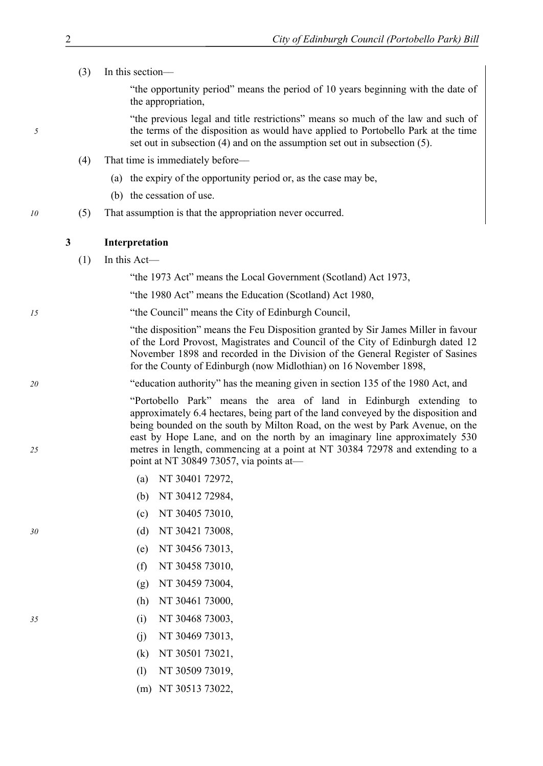(3) In this section––

"the opportunity period" means the period of 10 years beginning with the date of the appropriation,

"the previous legal and title restrictions" means so much of the law and such of *5* the terms of the disposition as would have applied to Portobello Park at the time set out in subsection (4) and on the assumption set out in subsection (5).

- (4) That time is immediately before––
	- (a) the expiry of the opportunity period or, as the case may be,
	- (b) the cessation of use.
- *10* (5) That assumption is that the appropriation never occurred.

#### **3 Interpretation**

 $(1)$  In this Act—

"the 1973 Act" means the Local Government (Scotland) Act 1973,

"the 1980 Act" means the Education (Scotland) Act 1980,

<sup>15</sup> <sup>the Council</sub><sup>"</sup> means the City of Edinburgh Council,</sup>

"the disposition" means the Feu Disposition granted by Sir James Miller in favour of the Lord Provost, Magistrates and Council of the City of Edinburgh dated 12 November 1898 and recorded in the Division of the General Register of Sasines for the County of Edinburgh (now Midlothian) on 16 November 1898,

<sup>20</sup> <sup>
<sup>20</sup> 
<sup>20</sup>

<sup>20</sup>

<sup>20</sup>

<sup>20</sup>

<sup>20</sup>

<sup>20</sup>

<sup>20</sup>

<sup>20</sup>

<sup>20</sup>

<sup>20</sup>

<sup>20</sup>

<sup>20</sup>

<sup>20</sup>

<sup>20</sup>

<sup>20</sup>

<sup>20</sup>

<sup>20</sup>

<sup>20</sup>

<sup>20</sup>

<sup>20</sup>

<sup>20</sup>

<sup>20</sup>

<sup>20</sup>

<sup>20</sup>

<sup>20</sup>

<sup>20</sup>

<sup>20</sup>

<sup>20</sup>

<sup>20</sup>

<sup>20</sup>

<sup>20</sup>

<sup>20</sup>

<sup>20</sup>

<sup>20</sup>

<sup>20</sup>
</sup>

―Portobello Park‖ means the area of land in Edinburgh extending to approximately 6.4 hectares, being part of the land conveyed by the disposition and being bounded on the south by Milton Road, on the west by Park Avenue, on the east by Hope Lane, and on the north by an imaginary line approximately 530 *25* metres in length, commencing at a point at NT 30384 72978 and extending to a point at NT 30849 73057, via points at—

- (a) NT 30401 72972,
- (b) NT 30412 72984,
- (c) NT 30405 73010,
- *30* (d) NT 30421 73008,
	- (e) NT 30456 73013,
	- (f) NT 30458 73010,
	- (g) NT 30459 73004,
	- (h) NT 30461 73000,
- *35* (i) NT 30468 73003,
	- (j) NT 30469 73013,
	- (k) NT 30501 73021,
	- (l) NT 30509 73019,
	- (m) NT 30513 73022,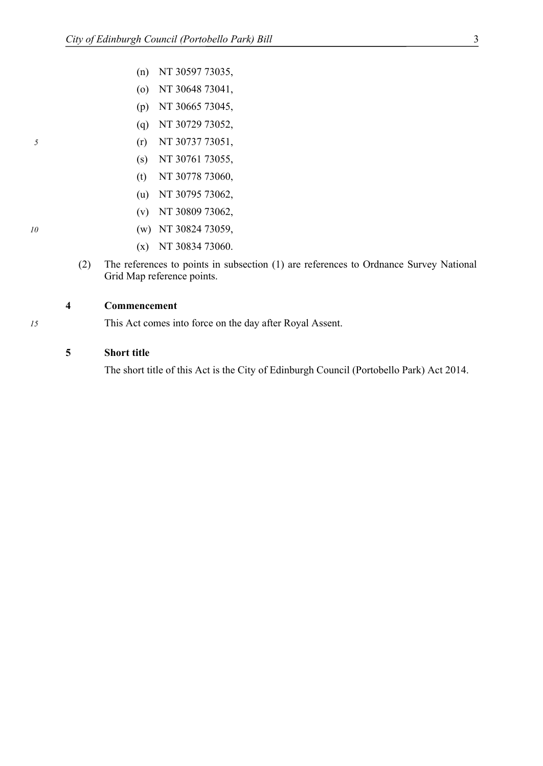- (n) NT 30597 73035,
- (o) NT 30648 73041,
- (p) NT 30665 73045,
- (q) NT 30729 73052,
- *5* (r) NT 30737 73051,
	- (s) NT 30761 73055,
	- (t) NT 30778 73060,
	- (u) NT 30795 73062,
	- (v) NT 30809 73062,
- *10* (w) NT 30824 73059,
	- (x) NT 30834 73060.
	- (2) The references to points in subsection (1) are references to Ordnance Survey National Grid Map reference points.

### **4 Commencement**

*15* This Act comes into force on the day after Royal Assent.

#### **5 Short title**

The short title of this Act is the City of Edinburgh Council (Portobello Park) Act 2014.